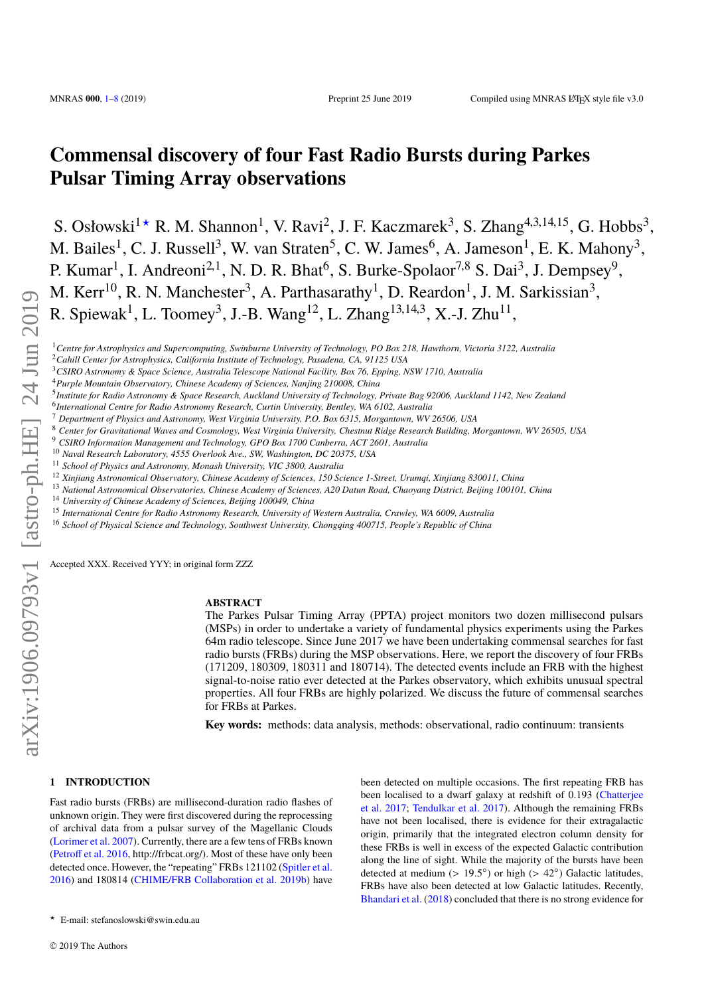# **Commensal discovery of four Fast Radio Bursts during Parkes Pulsar Timing Array observations**

S. Osłowski<sup>1</sup> \* R. M. Shannon<sup>1</sup>, V. Ravi<sup>2</sup>, J. F. Kaczmarek<sup>3</sup>, S. Zhang<sup>4,3,14,15</sup>, G. Hobbs<sup>3</sup>, M. Bailes<sup>1</sup>, C. J. Russell<sup>3</sup>, W. van Straten<sup>5</sup>, C. W. James<sup>6</sup>, A. Jameson<sup>1</sup>, E. K. Mahony<sup>3</sup>, P. Kumar<sup>1</sup>, I. Andreoni<sup>2,1</sup>, N. D. R. Bhat<sup>6</sup>, S. Burke-Spolaor<sup>7,8</sup> S. Dai<sup>3</sup>, J. Dempsey<sup>9</sup>, M. Kerr<sup>10</sup>, R. N. Manchester<sup>3</sup>, A. Parthasarathy<sup>1</sup>, D. Reardon<sup>1</sup>, J. M. Sarkissian<sup>3</sup>, R. Spiewak<sup>1</sup>, L. Toomey<sup>3</sup>, J.-B. Wang<sup>12</sup>, L. Zhang<sup>13,14,3</sup>, X.-J. Zhu<sup>11</sup>,

<sup>1</sup>*Centre for Astrophysics and Supercomputing, Swinburne University of Technology, PO Box 218, Hawthorn, Victoria 3122, Australia*

- 6 *International Centre for Radio Astronomy Research, Curtin University, Bentley, WA 6102, Australia*
- <sup>7</sup> *Department of Physics and Astronomy, West Virginia University, P.O. Box 6315, Morgantown, WV 26506, USA*
- <sup>8</sup> *Center for Gravitational Waves and Cosmology, West Virginia University, Chestnut Ridge Research Building, Morgantown, WV 26505, USA*
- <sup>9</sup> *CSIRO Information Management and Technology, GPO Box 1700 Canberra, ACT 2601, Australia*
- <sup>10</sup> *Naval Research Laboratory, 4555 Overlook Ave., SW, Washington, DC 20375, USA*
- <sup>11</sup> *School of Physics and Astronomy, Monash University, VIC 3800, Australia*
- <sup>12</sup> *Xinjiang Astronomical Observatory, Chinese Academy of Sciences, 150 Science 1-Street, Urumqi, Xinjiang 830011, China*
- <sup>13</sup> *National Astronomical Observatories, Chinese Academy of Sciences, A20 Datun Road, Chaoyang District, Beijing 100101, China*
- <sup>14</sup> *University of Chinese Academy of Sciences, Beijing 100049, China*
- <sup>15</sup> *International Centre for Radio Astronomy Research, University of Western Australia, Crawley, WA 6009, Australia*
- <sup>16</sup> *School of Physical Science and Technology, Southwest University, Chongqing 400715, People's Republic of China*

Accepted XXX. Received YYY; in original form ZZZ

#### **ABSTRACT**

The Parkes Pulsar Timing Array (PPTA) project monitors two dozen millisecond pulsars (MSPs) in order to undertake a variety of fundamental physics experiments using the Parkes 64m radio telescope. Since June 2017 we have been undertaking commensal searches for fast radio bursts (FRBs) during the MSP observations. Here, we report the discovery of four FRBs (171209, 180309, 180311 and 180714). The detected events include an FRB with the highest signal-to-noise ratio ever detected at the Parkes observatory, which exhibits unusual spectral properties. All four FRBs are highly polarized. We discuss the future of commensal searches for FRBs at Parkes.

**Key words:** methods: data analysis, methods: observational, radio continuum: transients

# <span id="page-0-0"></span>**1 INTRODUCTION**

Fast radio bursts (FRBs) are millisecond-duration radio flashes of unknown origin. They were first discovered during the reprocessing of archival data from a pulsar survey of the Magellanic Clouds [\(Lorimer et al.](#page-7-0) [2007\)](#page-7-0). Currently, there are a few tens of FRBs known [\(Petroff et al.](#page-7-1) [2016,](#page-7-1) http://frbcat.org/). Most of these have only been detected once. However, the "repeating" FRBs 121102 [\(Spitler et al.](#page-7-2) [2016\)](#page-7-2) and 180814 [\(CHIME/FRB Collaboration et al.](#page-7-3) [2019b\)](#page-7-3) have

been detected on multiple occasions. The first repeating FRB has been localised to a dwarf galaxy at redshift of 0.193 [\(Chatterjee](#page-7-4) [et al.](#page-7-4) [2017;](#page-7-4) [Tendulkar et al.](#page-7-5) [2017\)](#page-7-5). Although the remaining FRBs have not been localised, there is evidence for their extragalactic origin, primarily that the integrated electron column density for these FRBs is well in excess of the expected Galactic contribution along the line of sight. While the majority of the bursts have been detected at medium  $(> 19.5^{\circ})$  or high  $(> 42^{\circ})$  Galactic latitudes,<br>EPBs have also been detected at low Galactic latitudes. Becently FRBs have also been detected at low Galactic latitudes. Recently, [Bhandari et al.](#page-7-6) [\(2018\)](#page-7-6) concluded that there is no strong evidence for

<sup>2</sup>*Cahill Center for Astrophysics, California Institute of Technology, Pasadena, CA, 91125 USA*

<sup>3</sup>*CSIRO Astronomy & Space Science, Australia Telescope National Facility, Box 76, Epping, NSW 1710, Australia*

<sup>4</sup>*Purple Mountain Observatory, Chinese Academy of Sciences, Nanjing 210008, China*

<sup>5</sup> *Institute for Radio Astronomy & Space Research, Auckland University of Technology, Private Bag 92006, Auckland 1142, New Zealand*

<sup>?</sup> E-mail: stefanoslowski@swin.edu.au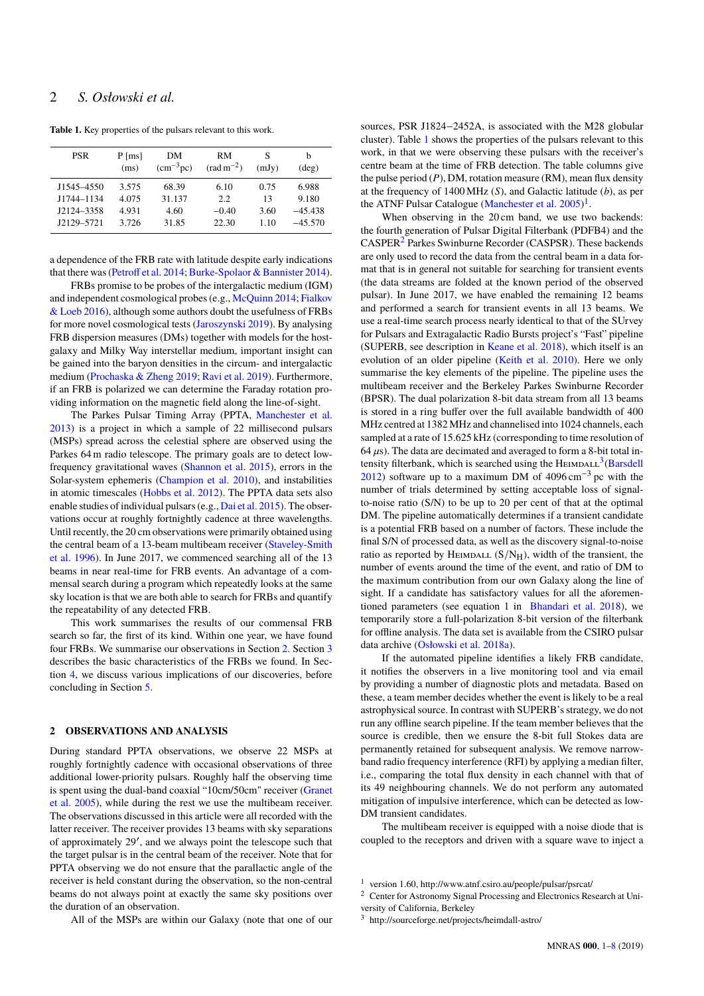# 2 *S. Osłowski et al.*

| <b>PSR</b> | $P$ [ms] | DМ                | RM                    | S     | b              |
|------------|----------|-------------------|-----------------------|-------|----------------|
|            | (ms)     | $\rm (cm^{-3}pc)$ | $\text{(rad m}^{-2})$ | (mJy) | $(\text{deg})$ |
| J1545-4550 | 3.575    | 68.39             | 6.10                  | 0.75  | 6.988          |
| J1744-1134 | 4.075    | 31.137            | 2.2                   | 13    | 9.180          |
| J2124-3358 | 4.931    | 4.60              | $-0.40$               | 3.60  | $-45,438$      |
| J2129-5721 | 3.726    | 31.85             | 22.30                 | 1.10  | $-45.570$      |

<span id="page-1-1"></span>**Table 1.** Key properties of the pulsars relevant to this work.

a dependence of the FRB rate with latitude despite early indications that there was [\(Petroff et al.](#page-7-7) [2014;](#page-7-7) [Burke-Spolaor & Bannister](#page-7-8) [2014\)](#page-7-8).

FRBs promise to be probes of the intergalactic medium (IGM) and independent cosmological probes (e.g., [McQuinn](#page-7-9) [2014;](#page-7-9) [Fialkov](#page-7-10) [& Loeb](#page-7-10) [2016\)](#page-7-10), although some authors doubt the usefulness of FRBs for more novel cosmological tests [\(Jaroszynski](#page-7-11) [2019\)](#page-7-11). By analysing FRB dispersion measures (DMs) together with models for the hostgalaxy and Milky Way interstellar medium, important insight can be gained into the baryon densities in the circum- and intergalactic medium [\(Prochaska & Zheng](#page-7-12) [2019;](#page-7-12) [Ravi et al.](#page-7-13) [2019\)](#page-7-13). Furthermore, if an FRB is polarized we can determine the Faraday rotation providing information on the magnetic field along the line-of-sight.

The Parkes Pulsar Timing Array (PPTA, [Manchester et al.](#page-7-14) [2013\)](#page-7-14) is a project in which a sample of 22 millisecond pulsars (MSPs) spread across the celestial sphere are observed using the Parkes 64 m radio telescope. The primary goals are to detect lowfrequency gravitational waves [\(Shannon et al.](#page-7-15) [2015\)](#page-7-15), errors in the Solar-system ephemeris [\(Champion et al.](#page-7-16) [2010\)](#page-7-16), and instabilities in atomic timescales [\(Hobbs et al.](#page-7-17) [2012\)](#page-7-17). The PPTA data sets also enable studies of individual pulsars (e.g., [Dai et al.](#page-7-18) [2015\)](#page-7-18). The observations occur at roughly fortnightly cadence at three wavelengths. Until recently, the 20 cm observations were primarily obtained using the central beam of a 13-beam multibeam receiver [\(Staveley-Smith](#page-7-19) [et al.](#page-7-19) [1996\)](#page-7-19). In June 2017, we commenced searching all of the 13 beams in near real-time for FRB events. An advantage of a commensal search during a program which repeatedly looks at the same sky location is that we are both able to search for FRBs and quantify the repeatability of any detected FRB.

This work summarises the results of our commensal FRB search so far, the first of its kind. Within one year, we have found four FRBs. We summarise our observations in Section [2.](#page-1-0) Section [3](#page-2-0) describes the basic characteristics of the FRBs we found. In Section [4,](#page-2-1) we discuss various implications of our discoveries, before concluding in Section [5.](#page-6-0)

## <span id="page-1-0"></span>**2 OBSERVATIONS AND ANALYSIS**

During standard PPTA observations, we observe 22 MSPs at roughly fortnightly cadence with occasional observations of three additional lower-priority pulsars. Roughly half the observing time is spent using the dual-band coaxial "10cm/50cm" receiver [\(Granet](#page-7-20) [et al.](#page-7-20) [2005\)](#page-7-20), while during the rest we use the multibeam receiver. The observations discussed in this article were all recorded with the latter receiver. The receiver provides 13 beams with sky separations of approximately 29', and we always point the telescope such that the target pulsar is in the central beam of the receiver. Note that for PPTA observing we do not ensure that the parallactic angle of the receiver is held constant during the observation, so the non-central beams do not always point at exactly the same sky positions over the duration of an observation.

sources, PSR J1824−2452A, is associated with the M28 globular cluster). Table [1](#page-1-1) shows the properties of the pulsars relevant to this work, in that we were observing these pulsars with the receiver's centre beam at the time of FRB detection. The table columns give the pulse period (*P*), DM, rotation measure (RM), mean flux density at the frequency of 1400 MHz (*S*), and Galactic latitude (*b*), as per the ATNF Pulsar Catalogue [\(Manchester et al.](#page-7-21)  $2005$ )<sup>[1](#page-1-2)</sup>.

When observing in the 20 cm band, we use two backends: the fourth generation of Pulsar Digital Filterbank (PDFB4) and the CASPER[2](#page-1-3) Parkes Swinburne Recorder (CASPSR). These backends are only used to record the data from the central beam in a data format that is in general not suitable for searching for transient events (the data streams are folded at the known period of the observed pulsar). In June 2017, we have enabled the remaining 12 beams and performed a search for transient events in all 13 beams. We use a real-time search process nearly identical to that of the SUrvey for Pulsars and Extragalactic Radio Bursts project's "Fast" pipeline (SUPERB, see description in [Keane et al.](#page-7-22) [2018\)](#page-7-22), which itself is an evolution of an older pipeline [\(Keith et al.](#page-7-23) [2010\)](#page-7-23). Here we only summarise the key elements of the pipeline. The pipeline uses the multibeam receiver and the Berkeley Parkes Swinburne Recorder (BPSR). The dual polarization 8-bit data stream from all 13 beams is stored in a ring buffer over the full available bandwidth of 400 MHz centred at 1382 MHz and channelised into 1024 channels, each sampled at a rate of 15.625 kHz (corresponding to time resolution of  $64 \,\mu s$ ). The data are decimated and averaged to form a 8-bit total in-tensity filterbank, which is searched using the HEIMDALL<sup>[3](#page-1-4)</sup> [\(Barsdell](#page-7-24) [2012\)](#page-7-24) software up to a maximum DM of  $4096 \text{ cm}^{-3}$  pc with the number of trials determined by setting acceptable loss of signalto-noise ratio (S/N) to be up to 20 per cent of that at the optimal DM. The pipeline automatically determines if a transient candidate is a potential FRB based on a number of factors. These include the final S/N of processed data, as well as the discovery signal-to-noise ratio as reported by HEIMDALL  $(S/N_H)$ , width of the transient, the number of events around the time of the event, and ratio of DM to the maximum contribution from our own Galaxy along the line of sight. If a candidate has satisfactory values for all the aforementioned parameters (see equation 1 in [Bhandari et al.](#page-7-6) [2018\)](#page-7-6), we temporarily store a full-polarization 8-bit version of the filterbank for offline analysis. The data set is available from the CSIRO pulsar data archive [\(Osłowski et al.](#page-7-25) [2018a\)](#page-7-25).

If the automated pipeline identifies a likely FRB candidate, it notifies the observers in a live monitoring tool and via email by providing a number of diagnostic plots and metadata. Based on these, a team member decides whether the event is likely to be a real astrophysical source. In contrast with SUPERB's strategy, we do not run any offline search pipeline. If the team member believes that the source is credible, then we ensure the 8-bit full Stokes data are permanently retained for subsequent analysis. We remove narrowband radio frequency interference (RFI) by applying a median filter, i.e., comparing the total flux density in each channel with that of its 49 neighbouring channels. We do not perform any automated mitigation of impulsive interference, which can be detected as low-DM transient candidates.

The multibeam receiver is equipped with a noise diode that is coupled to the receptors and driven with a square wave to inject a

<span id="page-1-2"></span>version 1.60, http://www.atnf.csiro.au/people/pulsar/psrcat/

<span id="page-1-3"></span><sup>&</sup>lt;sup>2</sup> Center for Astronomy Signal Processing and Electronics Research at University of California, Berkeley

<span id="page-1-4"></span><sup>3</sup> http://sourceforge.net/projects/heimdall-astro/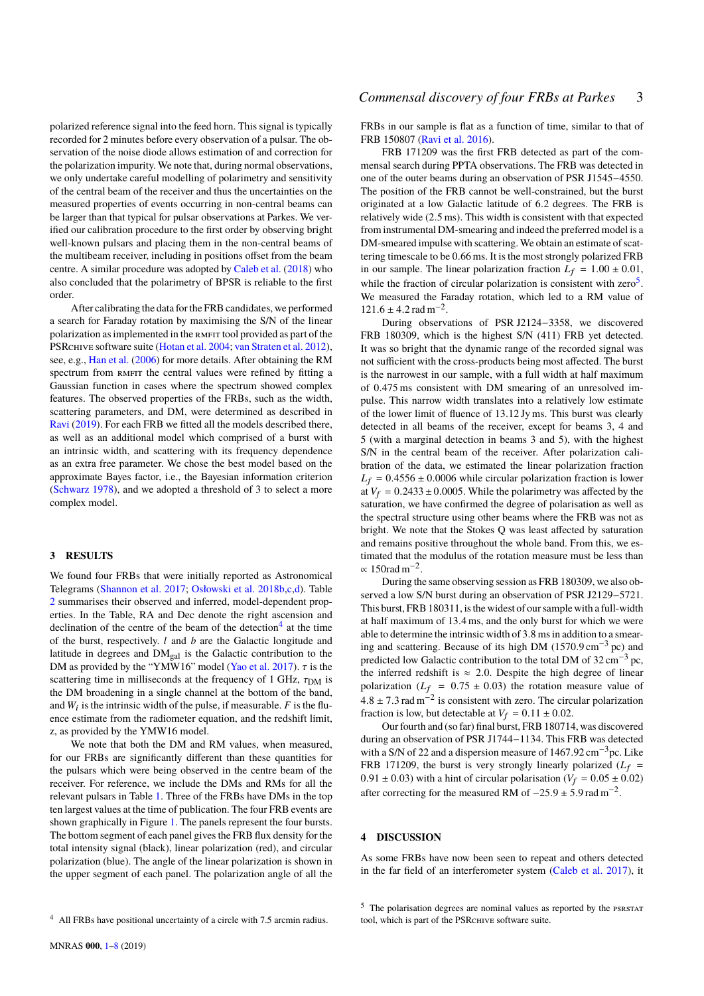polarized reference signal into the feed horn. This signal is typically recorded for 2 minutes before every observation of a pulsar. The observation of the noise diode allows estimation of and correction for the polarization impurity. We note that, during normal observations, we only undertake careful modelling of polarimetry and sensitivity of the central beam of the receiver and thus the uncertainties on the measured properties of events occurring in non-central beams can be larger than that typical for pulsar observations at Parkes. We verified our calibration procedure to the first order by observing bright well-known pulsars and placing them in the non-central beams of the multibeam receiver, including in positions offset from the beam centre. A similar procedure was adopted by [Caleb et al.](#page-7-26) [\(2018\)](#page-7-26) who also concluded that the polarimetry of BPSR is reliable to the first order.

After calibrating the data for the FRB candidates, we performed a search for Faraday rotation by maximising the S/N of the linear polarization as implemented in the RMFIT tool provided as part of the PSRCHIVE software suite [\(Hotan et al.](#page-7-27) [2004;](#page-7-27) [van Straten et al.](#page-7-28) [2012\)](#page-7-28), see, e.g., [Han et al.](#page-7-29) [\(2006\)](#page-7-29) for more details. After obtaining the RM spectrum from RMFIT the central values were refined by fitting a Gaussian function in cases where the spectrum showed complex features. The observed properties of the FRBs, such as the width, scattering parameters, and DM, were determined as described in [Ravi](#page-7-30) [\(2019\)](#page-7-30). For each FRB we fitted all the models described there, as well as an additional model which comprised of a burst with an intrinsic width, and scattering with its frequency dependence as an extra free parameter. We chose the best model based on the approximate Bayes factor, i.e., the Bayesian information criterion [\(Schwarz](#page-7-31) [1978\)](#page-7-31), and we adopted a threshold of 3 to select a more complex model.

## <span id="page-2-0"></span>**3 RESULTS**

We found four FRBs that were initially reported as Astronomical Telegrams [\(Shannon et al.](#page-7-32) [2017;](#page-7-32) [Osłowski et al.](#page-7-33) [2018b,](#page-7-33)[c](#page-7-34)[,d\)](#page-7-35). Table [2](#page-3-0) summarises their observed and inferred, model-dependent properties. In the Table, RA and Dec denote the right ascension and declination of the centre of the beam of the detection<sup>[4](#page-2-2)</sup> at the time of the burst, respectively. *l* and *b* are the Galactic longitude and latitude in degrees and  $DM_{\text{cal}}$  is the Galactic contribution to the DM as provided by the "YMW16" model [\(Yao et al.](#page-7-36) [2017\)](#page-7-36).  $\tau$  is the scattering time in milliseconds at the frequency of 1 GHz,  $\tau_{DM}$  is the DM broadening in a single channel at the bottom of the band, and  $W_i$  is the intrinsic width of the pulse, if measurable.  $F$  is the fluence estimate from the radiometer equation, and the redshift limit, z, as provided by the YMW16 model.

We note that both the DM and RM values, when measured, for our FRBs are significantly different than these quantities for the pulsars which were being observed in the centre beam of the receiver. For reference, we include the DMs and RMs for all the relevant pulsars in Table [1.](#page-1-1) Three of the FRBs have DMs in the top ten largest values at the time of publication. The four FRB events are shown graphically in Figure [1.](#page-3-1) The panels represent the four bursts. The bottom segment of each panel gives the FRB flux density for the total intensity signal (black), linear polarization (red), and circular polarization (blue). The angle of the linear polarization is shown in the upper segment of each panel. The polarization angle of all the

FRBs in our sample is flat as a function of time, similar to that of FRB 150807 [\(Ravi et al.](#page-7-37) [2016\)](#page-7-37).

FRB 171209 was the first FRB detected as part of the commensal search during PPTA observations. The FRB was detected in one of the outer beams during an observation of PSR J1545−4550. The position of the FRB cannot be well-constrained, but the burst originated at a low Galactic latitude of <sup>6</sup>.<sup>2</sup> degrees. The FRB is relatively wide (2.5 ms). This width is consistent with that expected from instrumental DM-smearing and indeed the preferred model is a DM-smeared impulse with scattering. We obtain an estimate of scattering timescale to be <sup>0</sup>.66 ms. It is the most strongly polarized FRB in our sample. The linear polarization fraction  $L_f = 1.00 \pm 0.01$ , while the fraction of circular polarization is consistent with  $zero<sup>5</sup>$  $zero<sup>5</sup>$  $zero<sup>5</sup>$ . We measured the Faraday rotation, which led to a RM value of  $121.6 \pm 4.2$  rad m<sup>-2</sup>.<br>During observ

During observations of PSR J2124−3358, we discovered FRB 180309, which is the highest S/N (411) FRB yet detected. It was so bright that the dynamic range of the recorded signal was not sufficient with the cross-products being most affected. The burst is the narrowest in our sample, with a full width at half maximum of <sup>0</sup>.475 ms consistent with DM smearing of an unresolved impulse. This narrow width translates into a relatively low estimate of the lower limit of fluence of <sup>13</sup>.12 Jy ms. This burst was clearly detected in all beams of the receiver, except for beams 3, 4 and 5 (with a marginal detection in beams 3 and 5), with the highest S/N in the central beam of the receiver. After polarization calibration of the data, we estimated the linear polarization fraction  $L_f = 0.4556 \pm 0.0006$  while circular polarization fraction is lower at  $V_f = 0.2433 \pm 0.0005$ . While the polarimetry was affected by the saturation, we have confirmed the degree of polarisation as well as the spectral structure using other beams where the FRB was not as bright. We note that the Stokes Q was least affected by saturation and remains positive throughout the whole band. From this, we estimated that the modulus of the rotation measure must be less than  $\propto$  150rad m<sup>-2</sup>.

During the same observing session as FRB 180309, we also observed a low S/N burst during an observation of PSR J2129−5721. This burst, FRB 180311, is the widest of our sample with a full-width at half maximum of <sup>13</sup>.4 ms, and the only burst for which we were able to determine the intrinsic width of 3.8 ms in addition to a smearing and scattering. Because of its high DM  $(1570.9 \text{ cm}^{-3} \text{ pc})$  and predicted low Galactic contribution to the total DM of  $32 \text{ cm}^{-3}$  pc, the inferred redshift is  $\approx$  2.0. Despite the high degree of linear polarization  $(L_f = 0.75 \pm 0.03)$  the rotation measure value of  $4.8 \pm 7.3$  rad m<sup>-2</sup> is consistent with zero. The circular polarization fraction is low but detectable at  $V_c = 0.11 \pm 0.02$ fraction is low, but detectable at  $V_f = 0.11 \pm 0.02$ .

Our fourth and (so far) final burst, FRB 180714, was discovered during an observation of PSR J1744−1134. This FRB was detected with a S/N of <sup>22</sup> and a dispersion measure of <sup>1467</sup>.<sup>92</sup> cm−3pc. Like FRB 171209, the burst is very strongly linearly polarized  $(L_f =$  $0.91 \pm 0.03$ ) with a hint of circular polarisation ( $V_f = 0.05 \pm 0.02$ ) after correcting for the measured RM of  $-25.9 \pm 5.9$  rad m<sup>-2</sup>.

## <span id="page-2-1"></span>**4 DISCUSSION**

As some FRBs have now been seen to repeat and others detected in the far field of an interferometer system [\(Caleb et al.](#page-7-38) [2017\)](#page-7-38), it

<span id="page-2-2"></span><sup>&</sup>lt;sup>4</sup> All FRBs have positional uncertainty of a circle with 7.5 arcmin radius.

<span id="page-2-3"></span><sup>&</sup>lt;sup>5</sup> The polarisation degrees are nominal values as reported by the PSRSTAT tool, which is part of the PSRCHIVE software suite.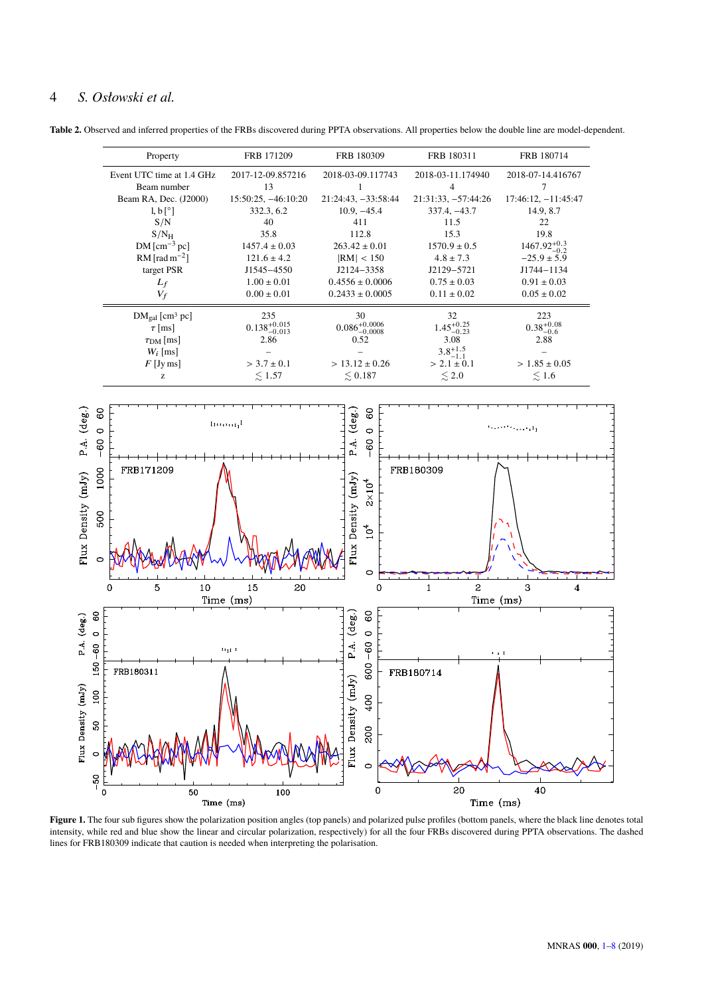# 4 *S. Osłowski et al.*

<span id="page-3-0"></span>**Table 2.** Observed and inferred properties of the FRBs discovered during PPTA observations. All properties below the double line are model-dependent.



<span id="page-3-1"></span>Figure 1. The four sub figures show the polarization position angles (top panels) and polarized pulse profiles (bottom panels, where the black line denotes total intensity, while red and blue show the linear and circular polarization, respectively) for all the four FRBs discovered during PPTA observations. The dashed lines for FRB180309 indicate that caution is needed when interpreting the polarisation.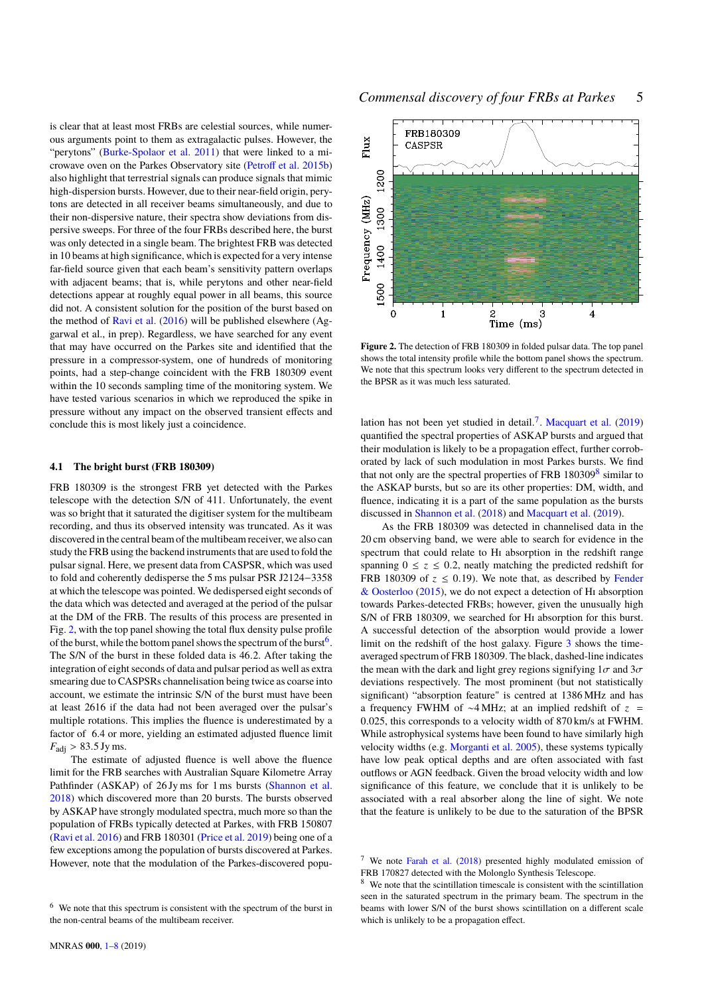is clear that at least most FRBs are celestial sources, while numerous arguments point to them as extragalactic pulses. However, the "perytons" [\(Burke-Spolaor et al.](#page-7-39) [2011\)](#page-7-39) that were linked to a microwave oven on the Parkes Observatory site [\(Petroff et al.](#page-7-40) [2015b\)](#page-7-40) also highlight that terrestrial signals can produce signals that mimic high-dispersion bursts. However, due to their near-field origin, perytons are detected in all receiver beams simultaneously, and due to their non-dispersive nature, their spectra show deviations from dispersive sweeps. For three of the four FRBs described here, the burst was only detected in a single beam. The brightest FRB was detected in 10 beams at high significance, which is expected for a very intense far-field source given that each beam's sensitivity pattern overlaps with adjacent beams; that is, while perytons and other near-field detections appear at roughly equal power in all beams, this source did not. A consistent solution for the position of the burst based on the method of [Ravi et al.](#page-7-37) [\(2016\)](#page-7-37) will be published elsewhere (Aggarwal et al., in prep). Regardless, we have searched for any event that may have occurred on the Parkes site and identified that the pressure in a compressor-system, one of hundreds of monitoring points, had a step-change coincident with the FRB 180309 event within the 10 seconds sampling time of the monitoring system. We have tested various scenarios in which we reproduced the spike in pressure without any impact on the observed transient effects and conclude this is most likely just a coincidence.

#### **4.1 The bright burst (FRB 180309)**

FRB 180309 is the strongest FRB yet detected with the Parkes telescope with the detection S/N of 411. Unfortunately, the event was so bright that it saturated the digitiser system for the multibeam recording, and thus its observed intensity was truncated. As it was discovered in the central beam of the multibeam receiver, we also can study the FRB using the backend instruments that are used to fold the pulsar signal. Here, we present data from CASPSR, which was used to fold and coherently dedisperse the 5 ms pulsar PSR J2124−3358 at which the telescope was pointed. We dedispersed eight seconds of the data which was detected and averaged at the period of the pulsar at the DM of the FRB. The results of this process are presented in Fig. [2,](#page-4-0) with the top panel showing the total flux density pulse profile of the burst, while the bottom panel shows the spectrum of the burst  $\frac{1}{2}$ . The S/N of the burst in these folded data is <sup>46</sup>.2. After taking the integration of eight seconds of data and pulsar period as well as extra smearing due to CASPSRs channelisation being twice as coarse into account, we estimate the intrinsic S/N of the burst must have been at least 2616 if the data had not been averaged over the pulsar's multiple rotations. This implies the fluence is underestimated by a factor of 6.4 or more, yielding an estimated adjusted fluence limit  $F_{\text{adj}} > 83.5 \text{ Jy ms}.$ 

The estimate of adjusted fluence is well above the fluence limit for the FRB searches with Australian Square Kilometre Array Pathfinder (ASKAP) of 26 Jy ms for 1 ms bursts [\(Shannon et al.](#page-7-41) [2018\)](#page-7-41) which discovered more than 20 bursts. The bursts observed by ASKAP have strongly modulated spectra, much more so than the population of FRBs typically detected at Parkes, with FRB 150807 [\(Ravi et al.](#page-7-37) [2016\)](#page-7-37) and FRB 180301 [\(Price et al.](#page-7-42) [2019\)](#page-7-42) being one of a few exceptions among the population of bursts discovered at Parkes. However, note that the modulation of the Parkes-discovered popu-



<span id="page-4-0"></span>**Figure 2.** The detection of FRB 180309 in folded pulsar data. The top panel shows the total intensity profile while the bottom panel shows the spectrum. We note that this spectrum looks very different to the spectrum detected in the BPSR as it was much less saturated.

lation has not been vet studied in detail.<sup>[7](#page-4-2)</sup>. [Macquart et al.](#page-7-43)  $(2019)$ quantified the spectral properties of ASKAP bursts and argued that their modulation is likely to be a propagation effect, further corroborated by lack of such modulation in most Parkes bursts. We find that not only are the spectral properties of FRB  $180309<sup>8</sup>$  $180309<sup>8</sup>$  $180309<sup>8</sup>$  similar to the ASKAP bursts, but so are its other properties: DM, width, and fluence, indicating it is a part of the same population as the bursts discussed in [Shannon et al.](#page-7-41) [\(2018\)](#page-7-41) and [Macquart et al.](#page-7-43) [\(2019\)](#page-7-43).

As the FRB 180309 was detected in channelised data in the 20 cm observing band, we were able to search for evidence in the spectrum that could relate to Hi absorption in the redshift range spanning  $0 \le z \le 0.2$ , neatly matching the predicted redshift for FRB 180309 of  $z \le 0.19$ ). We note that, as described by [Fender](#page-7-44) [& Oosterloo](#page-7-44) [\(2015\)](#page-7-44), we do not expect a detection of Hi absorption towards Parkes-detected FRBs; however, given the unusually high S/N of FRB 180309, we searched for Hi absorption for this burst. A successful detection of the absorption would provide a lower limit on the redshift of the host galaxy. Figure [3](#page-5-0) shows the timeaveraged spectrum of FRB 180309. The black, dashed-line indicates the mean with the dark and light grey regions signifying  $1\sigma$  and  $3\sigma$ deviations respectively. The most prominent (but not statistically significant) "absorption feature" is centred at 1386 MHz and has a frequency FWHM of ∼4 MHz; at an implied redshift of *z* = <sup>0</sup>.025, this corresponds to a velocity width of <sup>870</sup> km/s at FWHM. While astrophysical systems have been found to have similarly high velocity widths (e.g. [Morganti et al.](#page-7-45) [2005\)](#page-7-45), these systems typically have low peak optical depths and are often associated with fast outflows or AGN feedback. Given the broad velocity width and low significance of this feature, we conclude that it is unlikely to be associated with a real absorber along the line of sight. We note that the feature is unlikely to be due to the saturation of the BPSR

<span id="page-4-1"></span><sup>6</sup> We note that this spectrum is consistent with the spectrum of the burst in the non-central beams of the multibeam receiver.

<span id="page-4-2"></span><sup>&</sup>lt;sup>7</sup> We note [Farah et al.](#page-7-46)  $(2018)$  presented highly modulated emission of FRB 170827 detected with the Molonglo Synthesis Telescope.

<span id="page-4-3"></span>We note that the scintillation timescale is consistent with the scintillation seen in the saturated spectrum in the primary beam. The spectrum in the beams with lower S/N of the burst shows scintillation on a different scale which is unlikely to be a propagation effect.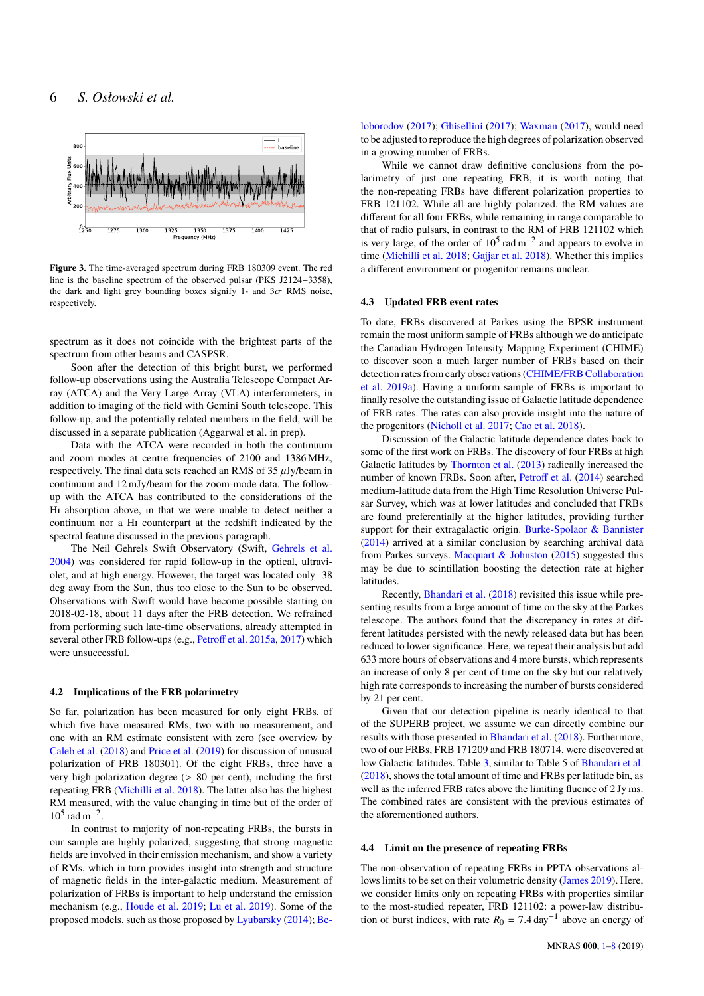

<span id="page-5-0"></span>**Figure 3.** The time-averaged spectrum during FRB 180309 event. The red line is the baseline spectrum of the observed pulsar (PKS J2124−3358), the dark and light grey bounding boxes signify 1- and  $3\sigma$  RMS noise, respectively.

spectrum as it does not coincide with the brightest parts of the spectrum from other beams and CASPSR.

Soon after the detection of this bright burst, we performed follow-up observations using the Australia Telescope Compact Array (ATCA) and the Very Large Array (VLA) interferometers, in addition to imaging of the field with Gemini South telescope. This follow-up, and the potentially related members in the field, will be discussed in a separate publication (Aggarwal et al. in prep).

Data with the ATCA were recorded in both the continuum and zoom modes at centre frequencies of 2100 and 1386 MHz, respectively. The final data sets reached an RMS of  $35 \mu$ Jy/beam in continuum and 12 mJy/beam for the zoom-mode data. The followup with the ATCA has contributed to the considerations of the Hi absorption above, in that we were unable to detect neither a continuum nor a Hi counterpart at the redshift indicated by the spectral feature discussed in the previous paragraph.

The Neil Gehrels Swift Observatory (Swift, [Gehrels et al.](#page-7-47) [2004\)](#page-7-47) was considered for rapid follow-up in the optical, ultraviolet, and at high energy. However, the target was located only 38 deg away from the Sun, thus too close to the Sun to be observed. Observations with Swift would have become possible starting on 2018-02-18, about 11 days after the FRB detection. We refrained from performing such late-time observations, already attempted in several other FRB follow-ups (e.g., [Petroff et al.](#page-7-48) [2015a,](#page-7-48) [2017\)](#page-7-49) which were unsuccessful.

# **4.2 Implications of the FRB polarimetry**

So far, polarization has been measured for only eight FRBs, of which five have measured RMs, two with no measurement, and one with an RM estimate consistent with zero (see overview by [Caleb et al.](#page-7-26) [\(2018\)](#page-7-26) and [Price et al.](#page-7-42) [\(2019\)](#page-7-42) for discussion of unusual polarization of FRB 180301). Of the eight FRBs, three have a very high polarization degree (> <sup>80</sup> per cent), including the first repeating FRB [\(Michilli et al.](#page-7-50) [2018\)](#page-7-50). The latter also has the highest RM measured, with the value changing in time but of the order of  $10^5$  rad m<sup>-2</sup>.

In contrast to majority of non-repeating FRBs, the bursts in our sample are highly polarized, suggesting that strong magnetic fields are involved in their emission mechanism, and show a variety of RMs, which in turn provides insight into strength and structure of magnetic fields in the inter-galactic medium. Measurement of polarization of FRBs is important to help understand the emission mechanism (e.g., [Houde et al.](#page-7-51) [2019;](#page-7-51) [Lu et al.](#page-7-52) [2019\)](#page-7-52). Some of the proposed models, such as those proposed by [Lyubarsky](#page-7-53) [\(2014\)](#page-7-53); [Be-](#page-7-54) [loborodov](#page-7-54) [\(2017\)](#page-7-54); [Ghisellini](#page-7-55) [\(2017\)](#page-7-55); [Waxman](#page-7-56) [\(2017\)](#page-7-56), would need to be adjusted to reproduce the high degrees of polarization observed in a growing number of FRBs.

While we cannot draw definitive conclusions from the polarimetry of just one repeating FRB, it is worth noting that the non-repeating FRBs have different polarization properties to FRB 121102. While all are highly polarized, the RM values are different for all four FRBs, while remaining in range comparable to that of radio pulsars, in contrast to the RM of FRB 121102 which is very large, of the order of  $10^5$  rad m<sup>-2</sup> and appears to evolve in time [\(Michilli et al.](#page-7-50) [2018;](#page-7-50) [Gajjar et al.](#page-7-57) [2018\)](#page-7-57). Whether this implies a different environment or progenitor remains unclear.

# **4.3 Updated FRB event rates**

To date, FRBs discovered at Parkes using the BPSR instrument remain the most uniform sample of FRBs although we do anticipate the Canadian Hydrogen Intensity Mapping Experiment (CHIME) to discover soon a much larger number of FRBs based on their detection rates from early observations [\(CHIME/FRB Collaboration](#page-7-58) [et al.](#page-7-58) [2019a\)](#page-7-58). Having a uniform sample of FRBs is important to finally resolve the outstanding issue of Galactic latitude dependence of FRB rates. The rates can also provide insight into the nature of the progenitors [\(Nicholl et al.](#page-7-59) [2017;](#page-7-59) [Cao et al.](#page-7-60) [2018\)](#page-7-60).

Discussion of the Galactic latitude dependence dates back to some of the first work on FRBs. The discovery of four FRBs at high Galactic latitudes by [Thornton et al.](#page-7-61) [\(2013\)](#page-7-61) radically increased the number of known FRBs. Soon after, [Petroff et al.](#page-7-7) [\(2014\)](#page-7-7) searched medium-latitude data from the High Time Resolution Universe Pulsar Survey, which was at lower latitudes and concluded that FRBs are found preferentially at the higher latitudes, providing further support for their extragalactic origin. [Burke-Spolaor & Bannister](#page-7-8) [\(2014\)](#page-7-8) arrived at a similar conclusion by searching archival data from Parkes surveys. [Macquart & Johnston](#page-7-62) [\(2015\)](#page-7-62) suggested this may be due to scintillation boosting the detection rate at higher latitudes.

Recently, [Bhandari et al.](#page-7-6) [\(2018\)](#page-7-6) revisited this issue while presenting results from a large amount of time on the sky at the Parkes telescope. The authors found that the discrepancy in rates at different latitudes persisted with the newly released data but has been reduced to lower significance. Here, we repeat their analysis but add 633 more hours of observations and 4 more bursts, which represents an increase of only 8 per cent of time on the sky but our relatively high rate corresponds to increasing the number of bursts considered by 21 per cent.

Given that our detection pipeline is nearly identical to that of the SUPERB project, we assume we can directly combine our results with those presented in [Bhandari et al.](#page-7-6) [\(2018\)](#page-7-6). Furthermore, two of our FRBs, FRB 171209 and FRB 180714, were discovered at low Galactic latitudes. Table [3,](#page-6-1) similar to Table 5 of [Bhandari et al.](#page-7-6) [\(2018\)](#page-7-6), shows the total amount of time and FRBs per latitude bin, as well as the inferred FRB rates above the limiting fluence of 2 Jy ms. The combined rates are consistent with the previous estimates of the aforementioned authors.

## **4.4 Limit on the presence of repeating FRBs**

The non-observation of repeating FRBs in PPTA observations allows limits to be set on their volumetric density [\(James](#page-7-63) [2019\)](#page-7-63). Here, we consider limits only on repeating FRBs with properties similar to the most-studied repeater, FRB 121102: a power-law distribution of burst indices, with rate  $R_0 = 7.4 \text{ day}^{-1}$  above an energy of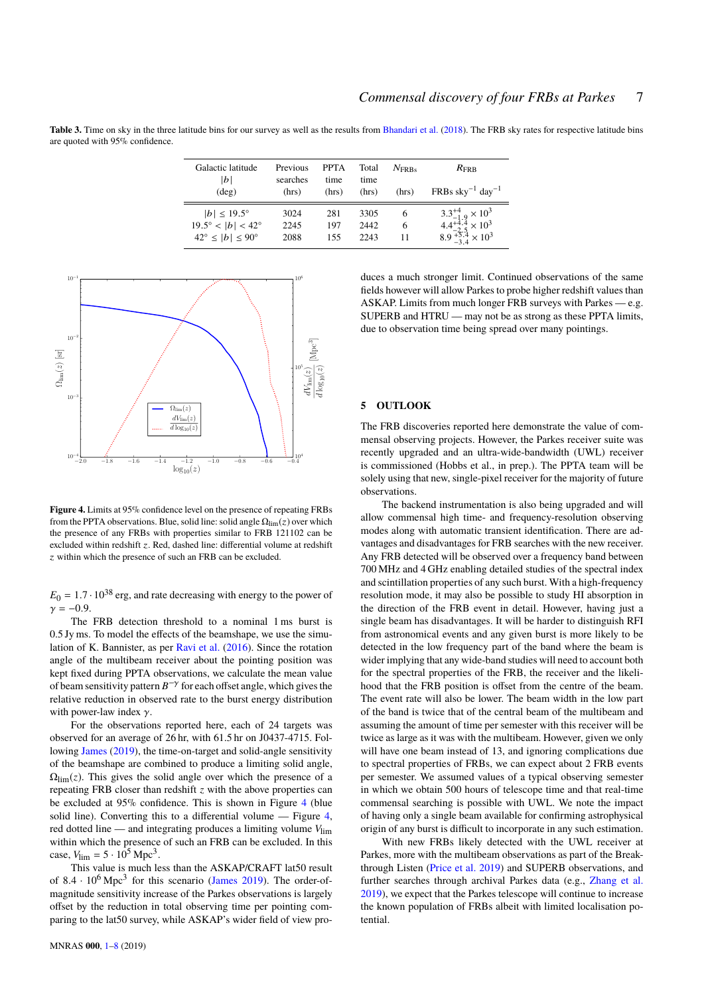<span id="page-6-1"></span>Table 3. Time on sky in the three latitude bins for our survey as well as the results from [Bhandari et al.](#page-7-6) [\(2018\)](#page-7-6). The FRB sky rates for respective latitude bins are quoted with 95% confidence.

| Galactic latitude<br> b <br>$(\text{deg})$                  | Previous<br>searches<br>(hrs) | <b>PPTA</b><br>time<br>(hrs) | Total<br>time<br>(hrs) | $N_{\rm FRRs}$<br>(hrs) | $R_{\rm FRR}$<br>$FRBs$ sky <sup>-1</sup> day <sup>-1</sup>      |
|-------------------------------------------------------------|-------------------------------|------------------------------|------------------------|-------------------------|------------------------------------------------------------------|
| $ b  \le 19.5^{\circ}$<br>$19.5^{\circ} <  b  < 42^{\circ}$ | 3024<br>2245                  | 281<br>197                   | 3305<br>2442           | 6<br>6                  | $3.3^{+4}_{-1.9} \times 10^3$<br>$4.4_{-2.5}^{+4.4} \times 10^3$ |
| $42^{\circ} \le  b  \le 90^{\circ}$                         | 2088                          | 155                          | 2243                   | 11                      | $8.9_{-3.4}^{+5.4} \times 10^3$                                  |



<span id="page-6-2"></span>**Figure 4.** Limits at 95% confidence level on the presence of repeating FRBs from the PPTA observations. Blue, solid line: solid angle  $\Omega_{\text{lim}}(z)$  over which the presence of any FRBs with properties similar to FRB 121102 can be excluded within redshift  $z$ . Red, dashed line: differential volume at redshift z within which the presence of such an FRB can be excluded.

 $E_0 = 1.7 \cdot 10^{38}$  erg, and rate decreasing with energy to the power of  $γ = -0.9.$ 

The FRB detection threshold to a nominal 1 ms burst is 0.5 Jy ms. To model the effects of the beamshape, we use the simulation of K. Bannister, as per [Ravi et al.](#page-7-37) [\(2016\)](#page-7-37). Since the rotation angle of the multibeam receiver about the pointing position was kept fixed during PPTA observations, we calculate the mean value of beam sensitivity pattern *B* −γ for each offset angle, which gives the relative reduction in observed rate to the burst energy distribution with power-law index  $\gamma$ .

For the observations reported here, each of 24 targets was observed for an average of 26 hr, with 61.5 hr on J0437-4715. Following [James](#page-7-63) [\(2019\)](#page-7-63), the time-on-target and solid-angle sensitivity of the beamshape are combined to produce a limiting solid angle,  $\Omega_{\text{lim}}(z)$ . This gives the solid angle over which the presence of a repeating FRB closer than redshift *z* with the above properties can be excluded at 95% confidence. This is shown in Figure [4](#page-6-2) (blue solid line). Converting this to a differential volume — Figure [4,](#page-6-2) red dotted line — and integrating produces a limiting volume *V*lim within which the presence of such an FRB can be excluded. In this case,  $V_{\text{lim}} = 5 \cdot 10^5 \text{ Mpc}^3$ .

This value is much less than the ASKAP/CRAFT lat50 result of  $8.4 \cdot 10^6$  Mpc<sup>3</sup> for this scenario [\(James](#page-7-63) [2019\)](#page-7-63). The order-of-<br>magnitude sensitivity increase of the Parkes observations is largely magnitude sensitivity increase of the Parkes observations is largely offset by the reduction in total observing time per pointing comparing to the lat50 survey, while ASKAP's wider field of view produces a much stronger limit. Continued observations of the same fields however will allow Parkes to probe higher redshift values than ASKAP. Limits from much longer FRB surveys with Parkes — e.g. SUPERB and HTRU — may not be as strong as these PPTA limits, due to observation time being spread over many pointings.

## <span id="page-6-0"></span>**5 OUTLOOK**

The FRB discoveries reported here demonstrate the value of commensal observing projects. However, the Parkes receiver suite was recently upgraded and an ultra-wide-bandwidth (UWL) receiver is commissioned (Hobbs et al., in prep.). The PPTA team will be solely using that new, single-pixel receiver for the majority of future observations.

The backend instrumentation is also being upgraded and will allow commensal high time- and frequency-resolution observing modes along with automatic transient identification. There are advantages and disadvantages for FRB searches with the new receiver. Any FRB detected will be observed over a frequency band between 700 MHz and 4 GHz enabling detailed studies of the spectral index and scintillation properties of any such burst. With a high-frequency resolution mode, it may also be possible to study HI absorption in the direction of the FRB event in detail. However, having just a single beam has disadvantages. It will be harder to distinguish RFI from astronomical events and any given burst is more likely to be detected in the low frequency part of the band where the beam is wider implying that any wide-band studies will need to account both for the spectral properties of the FRB, the receiver and the likelihood that the FRB position is offset from the centre of the beam. The event rate will also be lower. The beam width in the low part of the band is twice that of the central beam of the multibeam and assuming the amount of time per semester with this receiver will be twice as large as it was with the multibeam. However, given we only will have one beam instead of 13, and ignoring complications due to spectral properties of FRBs, we can expect about 2 FRB events per semester. We assumed values of a typical observing semester in which we obtain 500 hours of telescope time and that real-time commensal searching is possible with UWL. We note the impact of having only a single beam available for confirming astrophysical origin of any burst is difficult to incorporate in any such estimation.

With new FRBs likely detected with the UWL receiver at Parkes, more with the multibeam observations as part of the Breakthrough Listen [\(Price et al.](#page-7-42) [2019\)](#page-7-42) and SUPERB observations, and further searches through archival Parkes data (e.g., [Zhang et al.](#page-7-64) [2019\)](#page-7-64), we expect that the Parkes telescope will continue to increase the known population of FRBs albeit with limited localisation potential.